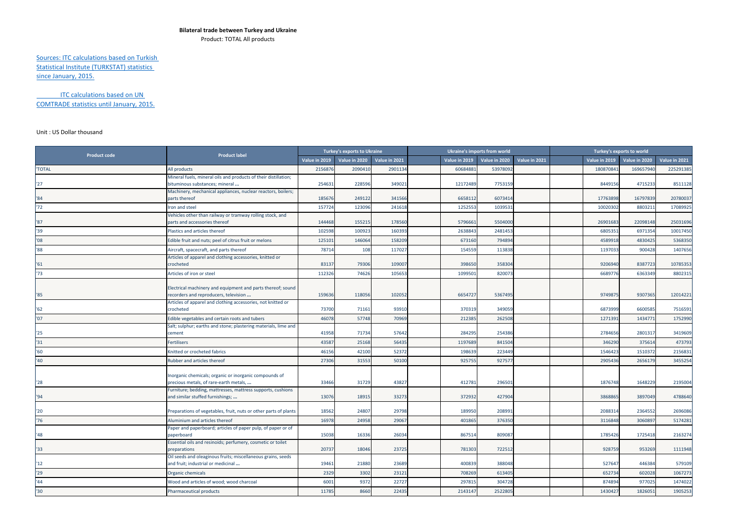## **Bilateral trade between Turkey and Ukraine**

Product: TOTAL All products

## Sources: ITC calculations based on Turkish Statistical Institute (TURKSTAT) statistics since January, 2015.

ITC calculations based on UN COMTRADE statistics until January, 2015.

## Unit : US Dollar thousand

| <b>Product code</b> | <b>Product label</b>                                                                                | <b>Turkey's exports to Ukraine</b> |               |               |               | <b>Ukraine's imports from world</b> |               | Turkey's exports to world |               |               |               |
|---------------------|-----------------------------------------------------------------------------------------------------|------------------------------------|---------------|---------------|---------------|-------------------------------------|---------------|---------------------------|---------------|---------------|---------------|
|                     |                                                                                                     | Value in 2019                      | Value in 2020 | Value in 2021 | Value in 2019 | Value in 2020                       | Value in 2021 |                           | Value in 2019 | Value in 2020 | Value in 2021 |
| <b>'TOTAL</b>       | All products                                                                                        | 2156876                            | 2090410       | 2901134       | 60684881      | 53978092                            |               |                           | 18087084      | 16965794      | 225291385     |
| "27"                | Mineral fuels, mineral oils and products of their distillation;<br>bituminous substances; mineral   | 254631                             | 228596        | 349021        | 12172489      | 7753159                             |               |                           | 8449156       | 4715233       | 8511128       |
| '84                 | Machinery, mechanical appliances, nuclear reactors, boilers;<br>parts thereof                       | 185676                             | 249122        | 341566        | 665811        | 6073414                             |               |                           | 17763898      | 16797839      | 20780037      |
| 172                 | ron and steel                                                                                       | 157724                             | 123096        | 241618        | 1252553       | 1039531                             |               |                           | 10020302      | 8803211       | 17089925      |
| '87                 | Vehicles other than railway or tramway rolling stock, and<br>parts and accessories thereof          | 144468                             | 155215        | 178560        | 579666        | 5504000                             |               |                           | 26901683      | 22098148      | 25031696      |
| 139                 | Plastics and articles thereof                                                                       | 102598                             | 100923        | 160393        | 263884        | 2481453                             |               |                           | 680535        | 6971354       | 10017450      |
| '08                 | Edible fruit and nuts; peel of citrus fruit or melons                                               | 12510                              | 146064        | 158209        | 673160        | 794894                              |               |                           | 4589918       | 4830425       | 5368350       |
| $^{\prime}88$       | Aircraft, spacecraft, and parts thereof                                                             | 78714                              | 108           | 117027        | 154559        | 113838                              |               |                           | 1197033       | 900428        | 1407656       |
| '61                 | Articles of apparel and clothing accessories, knitted or<br>crocheted                               | 83137                              | 79306         | 109007        | 398650        | 358304                              |               |                           | 9206940       | 8387723       | 10785353      |
| 173                 | Articles of iron or steel                                                                           | 112326                             | 74626         | 105653        | 1099501       | 820073                              |               |                           | 6689776       | 6363349       | 8802315       |
| '85                 | Electrical machinery and equipment and parts thereof; sound<br>ecorders and reproducers, television | 159636                             | 118056        | 102052        | 665472        | 5367495                             |               |                           | 9749875       | 9307365       | 12014221      |
| 162                 | Articles of apparel and clothing accessories, not knitted or<br>crocheted                           | 73700                              | 71161         | 93910         | 370319        | 349059                              |               |                           | 6873999       | 6600585       | 7516591       |
| '07                 | Edible vegetables and certain roots and tubers                                                      | 46078                              | 57748         | 70969         | 212385        | 262508                              |               |                           | 1271391       | 1434771       | 1752990       |
| '25                 | Salt; sulphur; earths and stone; plastering materials, lime and<br>cement                           | 41958                              | 71734         | 57642         | 284295        | 254386                              |               |                           | 2784656       | 280131        | 3419609       |
| 31                  | Fertilisers                                                                                         | 4358                               | 25168         | 56435         | 119768        | 841504                              |               |                           | 346290        | 37561         | 473793        |
| '60                 | Knitted or crocheted fabrics                                                                        | 46156                              | 42100         | 52372         | 19863         | 223449                              |               |                           | 1546423       | 151037        | 2156831       |
| '40                 | <b>Rubber and articles thereof</b>                                                                  | 27306                              | 31553         | 50100         | 92575         | 92757                               |               |                           | 2905436       | 265617        | 3455254       |
| '28                 | Inorganic chemicals; organic or inorganic compounds of<br>precious metals, of rare-earth metals,    | 33466                              | 31729         | 43827         | 412781        | 296501                              |               |                           | 1876748       | 1648229       | 2195004       |
| '94                 | Furniture; bedding, mattresses, mattress supports, cushions<br>and similar stuffed furnishings;     | 13076                              | 18915         | 33273         | 372932        | 427904                              |               |                           | 3868865       | 3897049       | 4788640       |
| '20                 | Preparations of vegetables, fruit, nuts or other parts of plants                                    | 18562                              | 24807         | 29798         | 18995         | 208991                              |               |                           | 2088314       | 2364552       | 2696086       |
| '76                 | Aluminium and articles thereof                                                                      | 16978                              | 24958         | 29067         | 401865        | 376350                              |               |                           | 3116848       | 3060897       | 5174281       |
| '48                 | Paper and paperboard; articles of paper pulp, of paper or of<br>paperboard                          | 15038                              | 16336         | 26034         | 867514        | 809087                              |               |                           | 1785426       | 1725418       | 2163274       |
| '33                 | Essential oils and resinoids; perfumery, cosmetic or toilet<br>preparations                         | 20737                              | 18046         | 23725         | 781303        | 722512                              |               |                           | 928759        | 953269        | 1111948       |
| 12                  | Oil seeds and oleaginous fruits; miscellaneous grains, seeds<br>and fruit; industrial or medicinal  | 19461                              | 21880         | 23689         | 40083         | 388048                              |               |                           | 527647        | 446384        | 579109        |
| '29                 | Organic chemicals                                                                                   | 2329                               | 3302          | 23121         | 708269        | 613405                              |               |                           | 652734        | 602028        | 1067273       |
| 144                 | Wood and articles of wood: wood charcoal                                                            | 600                                | 9372          | 22727         | 29781         | 304728                              |               |                           | 874894        | 977025        | 1474022       |
| '30                 | Pharmaceutical products                                                                             | 11785                              | 8660          | 22435         | 2143147       | 2522805                             |               |                           | 1430427       | 1826051       | 1905253       |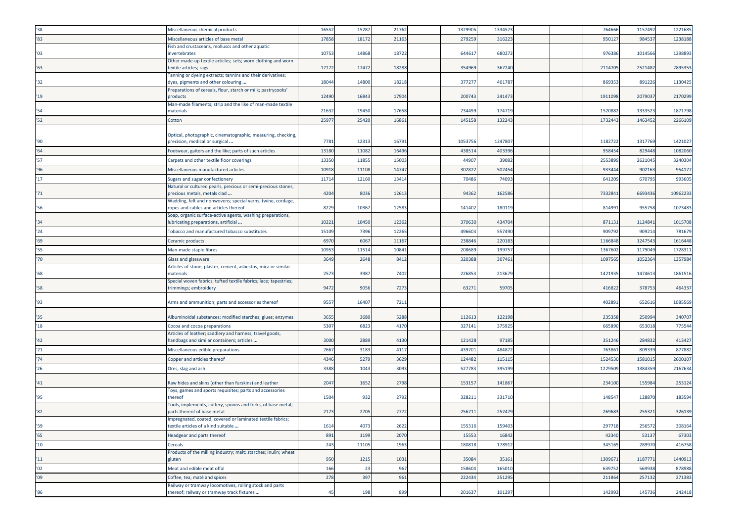| '38'            | Miscellaneous chemical products                                                                       | 16552 | 15287 | 21762 | 1329905 | 133457 |  | 764666  | 1157492 | 1221685  |
|-----------------|-------------------------------------------------------------------------------------------------------|-------|-------|-------|---------|--------|--|---------|---------|----------|
| '83             | Miscellaneous articles of base metal                                                                  | 17858 | 18172 | 2116  | 27925   | 31622  |  | 95012   | 98453   | 1238188  |
| '03             | Fish and crustaceans, molluscs and other aquatic<br>invertebrates                                     | 10753 | 14868 | 18722 | 644617  | 68027  |  | 97638   | 101456  | 1298893  |
|                 | Other made-up textile articles; sets; worn clothing and worn                                          |       |       |       |         |        |  |         |         |          |
| '63             | textile articles; rags<br>Tanning or dyeing extracts; tannins and their derivatives;                  | 17172 | 17472 | 1828  | 35496   | 36724  |  | 2114705 | 2521487 | 2895353  |
| '32             | dyes, pigments and other colouring                                                                    | 18044 | 14800 | 18218 | 37727   | 40178  |  | 86935   | 891226  | 1130425  |
| '19             | Preparations of cereals, flour, starch or milk; pastrycooks'<br>products                              | 12490 | 16843 | 17904 | 20074   | 24147  |  | 1911098 | 207903  | 2170299  |
| '54             | Man-made filaments; strip and the like of man-made textile<br>materials                               | 2163  | 19450 | 1765  | 23449   | 17471  |  | 152088  | 133352  | 1871798  |
| 52              | Cotton                                                                                                | 2597  | 25420 | 1686  | 145158  | 13224  |  | 1732443 | 1463452 | 2266109  |
| '90             | Optical, photographic, cinematographic, measuring, checking,<br>precision, medical or surgical        | 7781  | 12313 | 1679  | 105375  | 124780 |  | 1182722 | 1317769 | 1421027  |
| 164             | Footwear, gaiters and the like; parts of such articles                                                | 13180 | 11082 | 16496 | 43851   | 40339  |  | 95845   | 82944   | 1082060  |
| '57             | Carpets and other textile floor coverings                                                             | 13350 | 11855 | 1500  | 4490    | 3908   |  | 255389  | 262104  | 3240304  |
| 96              | Miscellaneous manufactured articles                                                                   | 10918 | 11108 | 1474  | 30282   | 50245  |  | 93344   | 90216   | 954177   |
| '17             | Sugars and sugar confectionery                                                                        | 11714 | 12160 | 1341  | 70486   | 7409   |  | 64120   | 67079   | 993605   |
| '71             | Natural or cultured pearls, precious or semi-precious stones,<br>precious metals, metals clad         | 4204  | 8036  | 12613 | 94362   | 16258  |  | 733284  | 669343  | 10962233 |
| '56             | Wadding, felt and nonwovens; special yarns; twine, cordage,<br>ropes and cables and articles thereof  | 8229  | 10367 | 1258  | 141402  | 18011  |  | 81499   | 955758  | 1073483  |
| '34             | Soap, organic surface-active agents, washing preparations,<br>lubricating preparations, artificial    | 10221 | 10450 | 12362 | 370630  | 43470  |  | 871131  | 1124841 | 1015708  |
| '24             | Tobacco and manufactured tobacco substitutes                                                          | 15109 | 7396  | 12265 | 49660   | 557490 |  | 909792  | 909214  | 781679   |
| '69             | Ceramic products                                                                                      | 6970  | 6067  | 11167 | 23884   | 22018  |  | 1166848 | 124754  | 1616448  |
| '55             | Man-made staple fibres                                                                                | 1095  | 11514 | 1084  | 20868   | 19975  |  | 136760  | 117904  | 1728311  |
| '70             | Glass and glassware                                                                                   | 3649  | 2648  | 8412  | 32038   | 30746  |  | 109756  | 105236  | 1357984  |
|                 | Articles of stone, plaster, cement, asbestos, mica or similar                                         |       |       |       |         |        |  |         |         |          |
| '68             | materials                                                                                             | 2573  | 3987  | 7402  | 22685   | 21367  |  | 1421935 | 1474613 | 1861516  |
| '58             | Special woven fabrics; tufted textile fabrics; lace; tapestries;<br>trimmings; embroidery             | 9472  | 9056  | 7273  | 6327    | 5970   |  | 41682   | 37875   | 464337   |
| '93             | Arms and ammunition; parts and accessories thereof                                                    | 9557  | 16407 | 7211  |         |        |  | 40289   | 652616  | 1085569  |
| '35'            | Albuminoidal substances; modified starches; glues; enzymes                                            | 3655  | 3680  | 5288  | 112613  | 122198 |  | 235358  | 250994  | 340707   |
| '18             | Cocoa and cocoa preparations                                                                          | 5307  | 6823  | 4170  | 327141  | 375925 |  | 66589   | 653018  | 775544   |
| '42             | Articles of leather; saddlery and harness; travel goods,<br>handbags and similar containers; articles | 3000  | 2889  | 4130  | 121428  | 97185  |  | 351246  | 284832  | 413427   |
| '21             | Miscellaneous edible preparations                                                                     | 2667  | 3183  | 4117  | 43970   | 48487  |  | 76386   | 80933   | 877882   |
| '74             | Copper and articles thereof                                                                           | 4346  | 5279  | 3629  | 12448   | 11511  |  | 152453  | 1581015 | 2600107  |
| '26             | Ores, slag and ash                                                                                    | 3388  | 1043  | 3093  | 52778   | 39519  |  | 1229509 | 1384359 | 2167634  |
| '41             | Raw hides and skins (other than furskins) and leather                                                 | 2047  | 1652  | 2798  | 15315   | 14186  |  | 234100  | 155984  | 253124   |
| '95             | Toys, games and sports requisites; parts and accessories<br>thereof                                   | 1504  | 932   | 2792  | 32821   | 33171  |  | 14854   | 128870  | 183594   |
| '82             | Tools, implements, cutlery, spoons and forks, of base metal;<br>parts thereof of base metal           | 2173  | 2705  | 2772  | 25671   | 25247  |  | 269683  | 255321  | 326139   |
| "59"            | Impregnated, coated, covered or laminated textile fabrics;<br>textile articles of a kind suitable     | 1614  | 4073  | 2622  | 155316  | 159403 |  | 297718  | 256572  | 308164   |
| '65             | Headgear and parts thereof                                                                            | 891   | 1199  | 2070  | 15553   | 16842  |  | 42340   | 53137   | 67303    |
| 10 <sup>1</sup> | <b>Cereals</b>                                                                                        | 243   | 11105 | 1963  | 180818  | 178912 |  | 345165  | 28997   | 416758   |
| 11              | Products of the milling industry; malt; starches; inulin; wheat<br>gluten                             | 950   | 1215  | 1031  | 35084   | 35161  |  | 1309671 | 1187771 | 1440913  |
| '02             | Meat and edible meat offal                                                                            | 166   | 23    | 967   | 158604  | 165010 |  | 639752  | 56993   | 878988   |
| '09             | Coffee, tea, maté and spices                                                                          | 278   | 397   | 961   | 222434  | 25129  |  | 211864  | 257132  | 271383   |
|                 | Railway or tramway locomotives, rolling stock and parts                                               |       |       |       |         |        |  |         |         |          |
| '86             | thereof; railway or tramway track fixtures                                                            | 45    | 198   | 899   | 201637  | 101297 |  | 142993  | 145736  | 242418   |